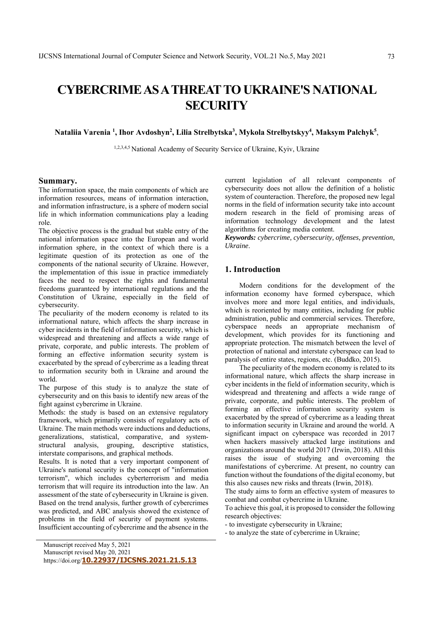# **CYBERCRIME AS A THREAT TO UKRAINE'S NATIONAL SECURITY**

Nataliia Varenia <sup>1</sup>, Ihor Avdoshyn<sup>2</sup>, Lilia Strelbytska<sup>3</sup>, Mykola Strelbytskyy<sup>4</sup>, Maksym Palchyk<sup>5</sup>,

1,2,3,4,5 National Academy of Security Service of Ukraine, Kyiv, Ukraine

# **Summary.**

The information space, the main components of which are information resources, means of information interaction, and information infrastructure, is a sphere of modern social life in which information communications play a leading role.

The objective process is the gradual but stable entry of the national information space into the European and world information sphere, in the context of which there is a legitimate question of its protection as one of the components of the national security of Ukraine. However, the implementation of this issue in practice immediately faces the need to respect the rights and fundamental freedoms guaranteed by international regulations and the Constitution of Ukraine, especially in the field of cybersecurity.

The peculiarity of the modern economy is related to its informational nature, which affects the sharp increase in cyber incidents in the field of information security, which is widespread and threatening and affects a wide range of private, corporate, and public interests. The problem of forming an effective information security system is exacerbated by the spread of cybercrime as a leading threat to information security both in Ukraine and around the world.

The purpose of this study is to analyze the state of cybersecurity and on this basis to identify new areas of the fight against cybercrime in Ukraine.

Methods: the study is based on an extensive regulatory framework, which primarily consists of regulatory acts of Ukraine. The main methods were inductions and deductions, generalizations, statistical, comparative, and systemstructural analysis, grouping, descriptive statistics, interstate comparisons, and graphical methods.

Results. It is noted that a very important component of Ukraine's national security is the concept of "information terrorism", which includes cyberterrorism and media terrorism that will require its introduction into the law. An assessment of the state of cybersecurity in Ukraine is given. Based on the trend analysis, further growth of cybercrimes was predicted, and ABC analysis showed the existence of problems in the field of security of payment systems. Insufficient accounting of cybercrime and the absence in the current legislation of all relevant components of cybersecurity does not allow the definition of a holistic system of counteraction. Therefore, the proposed new legal norms in the field of information security take into account modern research in the field of promising areas of information technology development and the latest algorithms for creating media content.

*Keywords: cybercrime, cybersecurity, offenses, prevention, Ukraine*.

# **1. Introduction**

Modern conditions for the development of the information economy have formed cyberspace, which involves more and more legal entities, and individuals, which is reoriented by many entities, including for public administration, public and commercial services. Therefore, cyberspace needs an appropriate mechanism of development, which provides for its functioning and appropriate protection. The mismatch between the level of protection of national and interstate cyberspace can lead to paralysis of entire states, regions, etc. (Buddko, 2015).

The peculiarity of the modern economy is related to its informational nature, which affects the sharp increase in cyber incidents in the field of information security, which is widespread and threatening and affects a wide range of private, corporate, and public interests. The problem of forming an effective information security system is exacerbated by the spread of cybercrime as a leading threat to information security in Ukraine and around the world. A significant impact on cyberspace was recorded in 2017 when hackers massively attacked large institutions and organizations around the world 2017 (Irwin, 2018). All this raises the issue of studying and overcoming the manifestations of cybercrime. At present, no country can function without the foundations of the digital economy, but this also causes new risks and threats (Irwin, 2018).

The study aims to form an effective system of measures to combat and combat cybercrime in Ukraine.

To achieve this goal, it is proposed to consider the following research objectives:

- to investigate cybersecurity in Ukraine;

- to analyze the state of cybercrime in Ukraine;

Manuscript revised May 20, 2021

https://doi.org/**10.22937/IJCSNS.2021.21.5.13**

Manuscript received May 5, 2021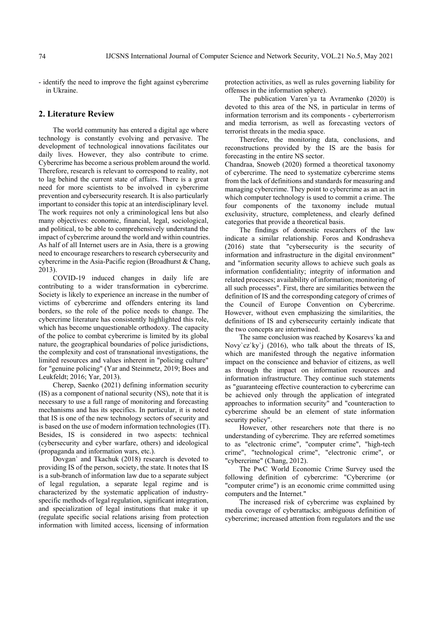- identify the need to improve the fight against cybercrime in Ukraine.

## **2. Literature Review**

The world community has entered a digital age where technology is constantly evolving and pervasive. The development of technological innovations facilitates our daily lives. However, they also contribute to crime. Cybercrime has become a serious problem around the world. Therefore, research is relevant to correspond to reality, not to lag behind the current state of affairs. There is a great need for more scientists to be involved in cybercrime prevention and cybersecurity research. It is also particularly important to consider this topic at an interdisciplinary level. The work requires not only a criminological lens but also many objectives: economic, financial, legal, sociological, and political, to be able to comprehensively understand the impact of cybercrime around the world and within countries. As half of all Internet users are in Asia, there is a growing need to encourage researchers to research cybersecurity and cybercrime in the Asia-Pacific region (Broadhurst & Chang, 2013).

COVID-19 induced changes in daily life are contributing to a wider transformation in cybercrime. Society is likely to experience an increase in the number of victims of cybercrime and offenders entering its land borders, so the role of the police needs to change. The cybercrime literature has consistently highlighted this role, which has become unquestionable orthodoxy. The capacity of the police to combat cybercrime is limited by its global nature, the geographical boundaries of police jurisdictions, the complexity and cost of transnational investigations, the limited resources and values inherent in "policing culture" for "genuine policing" (Yar and Steinmetz, 2019; Boes and Leukfeldt; 2016; Yar, 2013).

Cherep, Saenko (2021) defining information security (IS) as a component of national security (NS), note that it is necessary to use a full range of monitoring and forecasting mechanisms and has its specifics. In particular, it is noted that IS is one of the new technology sectors of security and is based on the use of modern information technologies (IT). Besides, IS is considered in two aspects: technical (cybersecurity and cyber warfare, others) and ideological (propaganda and information wars, etc.).

Dovgan` and Tkachuk (2018) research is devoted to providing IS of the person, society, the state. It notes that IS is a sub-branch of information law due to a separate subject of legal regulation, a separate legal regime and is characterized by the systematic application of industryspecific methods of legal regulation, significant integration, and specialization of legal institutions that make it up (regulate specific social relations arising from protection information with limited access, licensing of information protection activities, as well as rules governing liability for offenses in the information sphere).

The publication Varen`ya ta Avramenko (2020) is devoted to this area of the NS, in particular in terms of information terrorism and its components - cyberterrorism and media terrorism, as well as forecasting vectors of terrorist threats in the media space.

Therefore, the monitoring data, conclusions, and reconstructions provided by the IS are the basis for forecasting in the entire NS sector.

Chandraa, Snoweb (2020) formed a theoretical taxonomy of cybercrime. The need to systematize cybercrime stems from the lack of definitions and standards for measuring and managing cybercrime. They point to cybercrime as an act in which computer technology is used to commit a crime. The four components of the taxonomy include mutual exclusivity, structure, completeness, and clearly defined categories that provide a theoretical basis.

The findings of domestic researchers of the law indicate a similar relationship. Foros and Kondrasheva (2016) state that "cybersecurity is the security of information and infrastructure in the digital environment" and "information security allows to achieve such goals as information confidentiality; integrity of information and related processes; availability of information; monitoring of all such processes". First, there are similarities between the definition of IS and the corresponding category of crimes of the Council of Europe Convention on Cybercrime. However, without even emphasizing the similarities, the definitions of IS and cybersecurity certainly indicate that the two concepts are intertwined.

The same conclusion was reached by Kosarevs`ka and Novy`cz`ky`j (2016), who talk about the threats of IS, which are manifested through the negative information impact on the conscience and behavior of citizens, as well as through the impact on information resources and information infrastructure. They continue such statements as "guaranteeing effective counteraction to cybercrime can be achieved only through the application of integrated approaches to information security" and "counteraction to cybercrime should be an element of state information security policy".

However, other researchers note that there is no understanding of cybercrime. They are referred sometimes to as "electronic crime", "computer crime", "high-tech crime", "technological crime", "electronic crime", or "cybercrime" (Chang, 2012).

The PwC World Economic Crime Survey used the following definition of cybercrime: "Cybercrime (or "computer crime") is an economic crime committed using computers and the Internet."

The increased risk of cybercrime was explained by media coverage of cyberattacks; ambiguous definition of cybercrime; increased attention from regulators and the use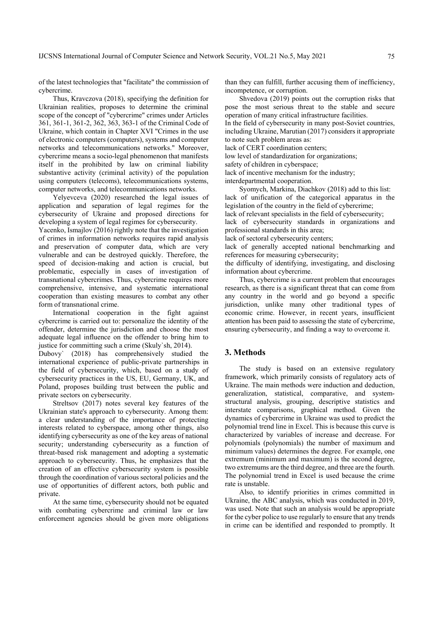of the latest technologies that "facilitate" the commission of cybercrime.

Thus, Kravczova (2018), specifying the definition for Ukrainian realities, proposes to determine the criminal scope of the concept of "cybercrime" crimes under Articles 361, 361-1, 361-2, 362, 363, 363-1 of the Criminal Code of Ukraine, which contain in Chapter XVI "Crimes in the use of electronic computers (computers), systems and computer networks and telecommunications networks." Moreover, cybercrime means a socio-legal phenomenon that manifests itself in the prohibited by law on criminal liability substantive activity (criminal activity) of the population using computers (telecoms), telecommunications systems, computer networks, and telecommunications networks.

Yelyevceva (2020) researched the legal issues of application and separation of legal regimes for the cybersecurity of Ukraine and proposed directions for developing a system of legal regimes for cybersecurity.

Yacenko, Ismajlov (2016) rightly note that the investigation of crimes in information networks requires rapid analysis and preservation of computer data, which are very vulnerable and can be destroyed quickly. Therefore, the speed of decision-making and action is crucial, but problematic, especially in cases of investigation of transnational cybercrimes. Thus, cybercrime requires more comprehensive, intensive, and systematic international cooperation than existing measures to combat any other form of transnational crime.

International cooperation in the fight against cybercrime is carried out to: personalize the identity of the offender, determine the jurisdiction and choose the most adequate legal influence on the offender to bring him to justice for committing such a crime (Skuly`sh, 2014).

Dubovy` (2018) has comprehensively studied the international experience of public-private partnerships in the field of cybersecurity, which, based on a study of cybersecurity practices in the US, EU, Germany, UK, and Poland, proposes building trust between the public and private sectors on cybersecurity.

Streltsov (2017) notes several key features of the Ukrainian state's approach to cybersecurity. Among them: a clear understanding of the importance of protecting interests related to cyberspace, among other things, also identifying cybersecurity as one of the key areas of national security; understanding cybersecurity as a function of threat-based risk management and adopting a systematic approach to cybersecurity. Thus, he emphasizes that the creation of an effective cybersecurity system is possible through the coordination of various sectoral policies and the use of opportunities of different actors, both public and private.

At the same time, cybersecurity should not be equated with combating cybercrime and criminal law or law enforcement agencies should be given more obligations

than they can fulfill, further accusing them of inefficiency, incompetence, or corruption.

Shvedova (2019) points out the corruption risks that pose the most serious threat to the stable and secure operation of many critical infrastructure facilities.

In the field of cybersecurity in many post-Soviet countries, including Ukraine, Marutian (2017) considers it appropriate to note such problem areas as:

lack of CERT coordination centers;

low level of standardization for organizations;

safety of children in cyberspace;

lack of incentive mechanism for the industry;

interdepartmental cooperation.

Syomych, Markina, Diachkov (2018) add to this list: lack of unification of the categorical apparatus in the legislation of the country in the field of cybercrime;

lack of relevant specialists in the field of cybersecurity;

lack of cybersecurity standards in organizations and professional standards in this area;

lack of sectoral cybersecurity centers;

lack of generally accepted national benchmarking and references for measuring cybersecurity;

the difficulty of identifying, investigating, and disclosing information about cybercrime.

Thus, cybercrime is a current problem that encourages research, as there is a significant threat that can come from any country in the world and go beyond a specific jurisdiction, unlike many other traditional types of economic crime. However, in recent years, insufficient attention has been paid to assessing the state of cybercrime, ensuring cybersecurity, and finding a way to overcome it.

# **3. Methods**

The study is based on an extensive regulatory framework, which primarily consists of regulatory acts of Ukraine. The main methods were induction and deduction, generalization, statistical, comparative, and systemstructural analysis, grouping, descriptive statistics and interstate comparisons, graphical method. Given the dynamics of cybercrime in Ukraine was used to predict the polynomial trend line in Excel. This is because this curve is characterized by variables of increase and decrease. For polynomials (polynomials) the number of maximum and minimum values) determines the degree. For example, one extremum (minimum and maximum) is the second degree, two extremums are the third degree, and three are the fourth. The polynomial trend in Excel is used because the crime rate is unstable.

Also, to identify priorities in crimes committed in Ukraine, the ABC analysis, which was conducted in 2019, was used. Note that such an analysis would be appropriate for the cyber police to use regularly to ensure that any trends in crime can be identified and responded to promptly. It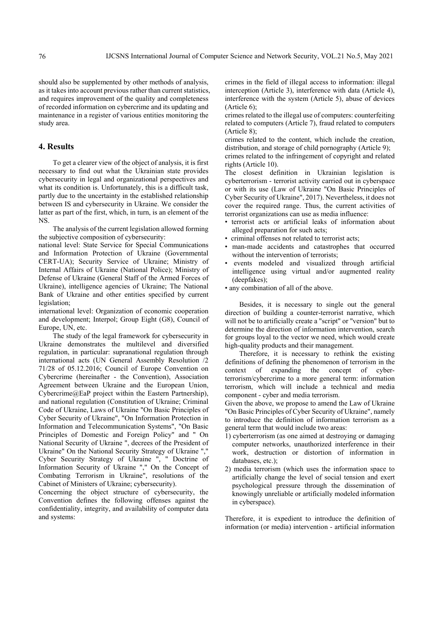should also be supplemented by other methods of analysis, as it takes into account previous rather than current statistics, and requires improvement of the quality and completeness of recorded information on cybercrime and its updating and maintenance in a register of various entities monitoring the study area.

# **4. Results**

To get a clearer view of the object of analysis, it is first necessary to find out what the Ukrainian state provides cybersecurity in legal and organizational perspectives and what its condition is. Unfortunately, this is a difficult task, partly due to the uncertainty in the established relationship between IS and cybersecurity in Ukraine. We consider the latter as part of the first, which, in turn, is an element of the NS.

The analysis of the current legislation allowed forming the subjective composition of cybersecurity:

national level: State Service for Special Communications and Information Protection of Ukraine (Governmental CERT-UA); Security Service of Ukraine; Ministry of Internal Affairs of Ukraine (National Police); Ministry of Defense of Ukraine (General Staff of the Armed Forces of Ukraine), intelligence agencies of Ukraine; The National Bank of Ukraine and other entities specified by current legislation;

international level: Organization of economic cooperation and development; Interpol; Group Eight (G8), Council of Europe, UN, etc.

The study of the legal framework for cybersecurity in Ukraine demonstrates the multilevel and diversified regulation, in particular: supranational regulation through international acts (UN General Assembly Resolution /2 71/28 of 05.12.2016; Council of Europe Convention on Cybercrime (hereinafter - the Convention), Association Agreement between Ukraine and the European Union, Cybercrime@EaP project within the Eastern Partnership), and national regulation (Constitution of Ukraine; Criminal Code of Ukraine, Laws of Ukraine "On Basic Principles of Cyber Security of Ukraine", "On Information Protection in Information and Telecommunication Systems", "On Basic Principles of Domestic and Foreign Policy" and " On National Security of Ukraine ", decrees of the President of Ukraine" On the National Security Strategy of Ukraine "," Cyber Security Strategy of Ukraine ", " Doctrine of Information Security of Ukraine "," On the Concept of Combating Terrorism in Ukraine", resolutions of the Cabinet of Ministers of Ukraine; cybersecurity).

Concerning the object structure of cybersecurity, the Convention defines the following offenses against the confidentiality, integrity, and availability of computer data and systems:

crimes in the field of illegal access to information: illegal interception (Article 3), interference with data (Article 4), interference with the system (Article 5), abuse of devices (Article 6);

crimes related to the illegal use of computers: counterfeiting related to computers (Article 7), fraud related to computers (Article 8);

crimes related to the content, which include the creation, distribution, and storage of child pornography (Article 9);

crimes related to the infringement of copyright and related rights (Article 10).

The closest definition in Ukrainian legislation is cyberterrorism - terrorist activity carried out in cyberspace or with its use (Law of Ukraine "On Basic Principles of Cyber Security of Ukraine", 2017). Nevertheless, it does not cover the required range. Thus, the current activities of terrorist organizations can use as media influence:

- terrorist acts or artificial leaks of information about alleged preparation for such acts;
- criminal offenses not related to terrorist acts;
- man-made accidents and catastrophes that occurred without the intervention of terrorists;
- events modeled and visualized through artificial intelligence using virtual and/or augmented reality (deepfakes);
- any combination of all of the above.

Besides, it is necessary to single out the general direction of building a counter-terrorist narrative, which will not be to artificially create a "script" or "version" but to determine the direction of information intervention, search for groups loyal to the vector we need, which would create high-quality products and their management.

Therefore, it is necessary to rethink the existing definitions of defining the phenomenon of terrorism in the context of expanding the concept of cyberterrorism/cybercrime to a more general term: information terrorism, which will include a technical and media component - cyber and media terrorism.

Given the above, we propose to amend the Law of Ukraine "On Basic Principles of Cyber Security of Ukraine", namely to introduce the definition of information terrorism as a general term that would include two areas:

- 1) cyberterrorism (as one aimed at destroying or damaging computer networks, unauthorized interference in their work, destruction or distortion of information in databases, etc.);
- 2) media terrorism (which uses the information space to artificially change the level of social tension and exert psychological pressure through the dissemination of knowingly unreliable or artificially modeled information in cyberspace).

Therefore, it is expedient to introduce the definition of information (or media) intervention - artificial information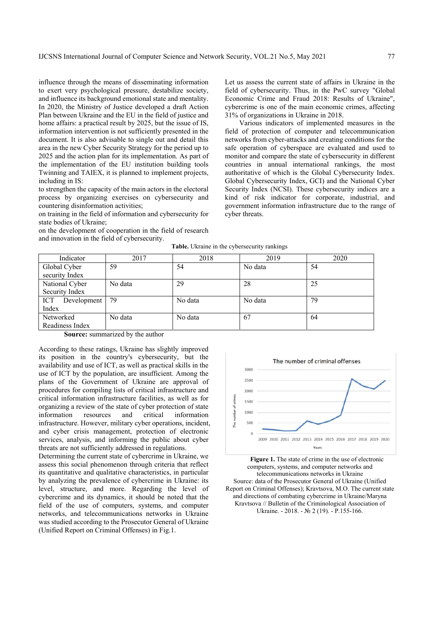influence through the means of disseminating information to exert very psychological pressure, destabilize society, and influence its background emotional state and mentality. In 2020, the Ministry of Justice developed a draft Action Plan between Ukraine and the EU in the field of justice and home affairs: a practical result by 2025, but the issue of IS, information intervention is not sufficiently presented in the document. It is also advisable to single out and detail this area in the new Cyber Security Strategy for the period up to 2025 and the action plan for its implementation. As part of the implementation of the EU institution building tools Twinning and TAIEX, it is planned to implement projects, including in IS:

to strengthen the capacity of the main actors in the electoral process by organizing exercises on cybersecurity and countering disinformation activities;

on training in the field of information and cybersecurity for state bodies of Ukraine;

on the development of cooperation in the field of research and innovation in the field of cybersecurity.

Let us assess the current state of affairs in Ukraine in the field of cybersecurity. Thus, in the PwC survey "Global Economic Crime and Fraud 2018: Results of Ukraine", cybercrime is one of the main economic crimes, affecting 31% of organizations in Ukraine in 2018.

Various indicators of implemented measures in the field of protection of computer and telecommunication networks from cyber-attacks and creating conditions for the safe operation of cyberspace are evaluated and used to monitor and compare the state of cybersecurity in different countries in annual international rankings, the most authoritative of which is the Global Cybersecurity Index. Global Cybersecurity Index, GCI) and the National Cyber Security Index (NCSI). These cybersecurity indices are a kind of risk indicator for corporate, industrial, and government information infrastructure due to the range of cyber threats.

| Indicator          | 2017    | 2018    | 2019    | 2020 |
|--------------------|---------|---------|---------|------|
| Global Cyber       | 59      | 54      | No data | 54   |
| security Index     |         |         |         |      |
| National Cyber     | No data | 29      | 28      | 25   |
| Security Index     |         |         |         |      |
| Development<br>ICT | 79      | No data | No data | 79   |
| Index              |         |         |         |      |
| Networked          | No data | No data | 67      | 64   |
| Readiness Index    |         |         |         |      |

**Table.** Ukraine in the cybersecurity rankings

**Source:** summarized by the author

According to these ratings, Ukraine has slightly improved its position in the country's cybersecurity, but the availability and use of ICT, as well as practical skills in the use of ICT by the population, are insufficient. Among the plans of the Government of Ukraine are approval of procedures for compiling lists of critical infrastructure and critical information infrastructure facilities, as well as for organizing a review of the state of cyber protection of state information resources and critical information infrastructure. However, military cyber operations, incident, and cyber crisis management, protection of electronic services, analysis, and informing the public about cyber threats are not sufficiently addressed in regulations.

Determining the current state of cybercrime in Ukraine, we assess this social phenomenon through criteria that reflect its quantitative and qualitative characteristics, in particular by analyzing the prevalence of cybercrime in Ukraine: its level, structure, and more. Regarding the level of cybercrime and its dynamics, it should be noted that the field of the use of computers, systems, and computer networks, and telecommunications networks in Ukraine was studied according to the Prosecutor General of Ukraine (Unified Report on Criminal Offenses) in Fig.1.



**Figure 1.** The state of crime in the use of electronic computers, systems, and computer networks and telecommunications networks in Ukraine Source: data of the Prosecutor General of Ukraine (Unified Report on Criminal Offenses); Kravtsova, M.O. The current state and directions of combating cybercrime in Ukraine/Maryna Kravtsova // Bulletin of the Criminological Association of Ukraine. - 2018. - № 2 (19). - P.155-166.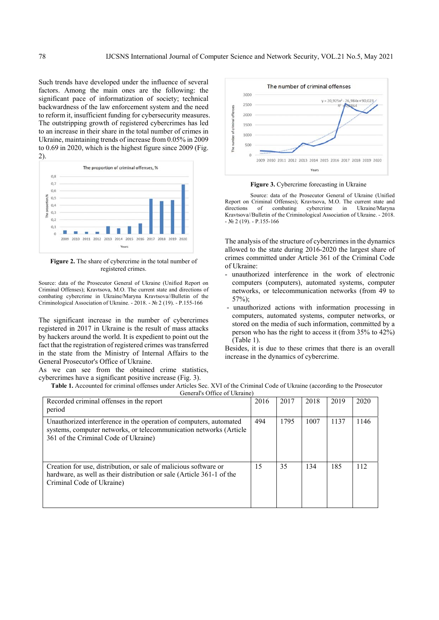Such trends have developed under the influence of several factors. Among the main ones are the following: the significant pace of informatization of society; technical backwardness of the law enforcement system and the need to reform it, insufficient funding for cybersecurity measures. The outstripping growth of registered cybercrimes has led to an increase in their share in the total number of crimes in Ukraine, maintaining trends of increase from 0.05% in 2009 to 0.69 in 2020, which is the highest figure since 2009 (Fig. 2).



**Figure 2.** The share of cybercrime in the total number of registered crimes.

Source: data of the Prosecutor General of Ukraine (Unified Report on Criminal Offenses); Kravtsova, M.O. The current state and directions of combating cybercrime in Ukraine/Maryna Kravtsova//Bulletin of the Criminological Association of Ukraine. - 2018. - № 2 (19). - P.155-166

The significant increase in the number of cybercrimes registered in 2017 in Ukraine is the result of mass attacks by hackers around the world. It is expedient to point out the fact that the registration of registered crimes was transferred in the state from the Ministry of Internal Affairs to the General Prosecutor's Office of Ukraine.

As we can see from the obtained crime statistics, cybercrimes have a significant positive increase (Fig. 3).



**Figure 3.** Cybercrime forecasting in Ukraine

Source: data of the Prosecutor General of Ukraine (Unified Report on Criminal Offenses); Kravtsova, M.O. The current state and directions of combating cybercrime in Ukraine/Maryna Kravtsova//Bulletin of the Criminological Association of Ukraine. - 2018.  $-$  No 2 (19).  $-$  P.155-166

The analysis of the structure of cybercrimes in the dynamics allowed to the state during 2016-2020 the largest share of crimes committed under Article 361 of the Criminal Code of Ukraine:

- unauthorized interference in the work of electronic computers (computers), automated systems, computer networks, or telecommunication networks (from 49 to 57%);
- unauthorized actions with information processing in computers, automated systems, computer networks, or stored on the media of such information, committed by a person who has the right to access it (from 35% to 42%) (Table 1).

Besides, it is due to these crimes that there is an overall increase in the dynamics of cybercrime.

**Table 1.** Accounted for criminal offenses under Articles Sec. XVI of the Criminal Code of Ukraine (according to the Prosecutor General's Office of Ukraine)

| Recorded criminal offenses in the report<br>period                                                                                                                               | 2016 | 2017 | 2018 | 2019 | 2020 |
|----------------------------------------------------------------------------------------------------------------------------------------------------------------------------------|------|------|------|------|------|
| Unauthorized interference in the operation of computers, automated<br>systems, computer networks, or telecommunication networks (Article<br>361 of the Criminal Code of Ukraine) | 494  | 1795 | 1007 | 1137 | 1146 |
| Creation for use, distribution, or sale of malicious software or<br>hardware, as well as their distribution or sale (Article 361-1 of the<br>Criminal Code of Ukraine)           | 15   | 35   | 134  | 185  | 112  |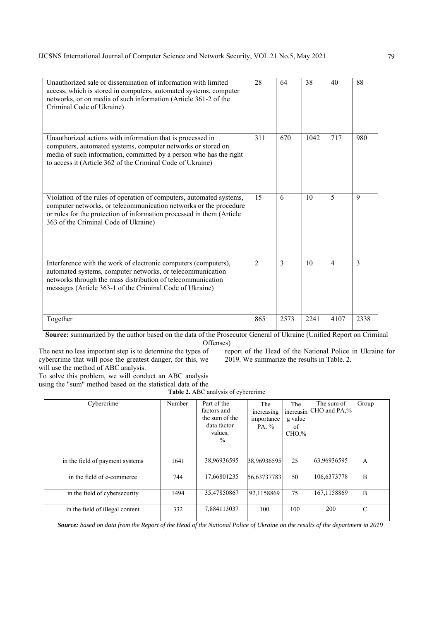| Unauthorized sale or dissemination of information with limited<br>access, which is stored in computers, automated systems, computer<br>networks, or on media of such information (Article 361-2 of the<br>Criminal Code of Ukraine)                            | 28             | 64   | 38   | 40             | 88          |
|----------------------------------------------------------------------------------------------------------------------------------------------------------------------------------------------------------------------------------------------------------------|----------------|------|------|----------------|-------------|
| Unauthorized actions with information that is processed in<br>computers, automated systems, computer networks or stored on<br>media of such information, committed by a person who has the right<br>to access it (Article 362 of the Criminal Code of Ukraine) | 311            | 670  | 1042 | 717            | 980         |
| Violation of the rules of operation of computers, automated systems,<br>computer networks, or telecommunication networks or the procedure<br>or rules for the protection of information processed in them (Article<br>363 of the Criminal Code of Ukraine)     | 15             | 6    | 10   | 5              | $\mathbf Q$ |
| Interference with the work of electronic computers (computers),<br>automated systems, computer networks, or telecommunication<br>networks through the mass distribution of telecommunication<br>messages (Article 363-1 of the Criminal Code of Ukraine)       | $\overline{2}$ | 3    | 10   | $\overline{4}$ | 3           |
| Together                                                                                                                                                                                                                                                       | 865            | 2573 | 2241 | 4107           | 2338        |

**Source:** summarized by the author based on the data of the Prosecutor General of Ukraine (Unified Report on Criminal Offenses)

The next no less important step is to determine the types of cybercrime that will pose the greatest danger, for this, we will use the method of ABC analysis.

report of the Head of the National Police in Ukraine for  $2019$ . We summarize the results in Table. 2.

To solve this problem, we will conduct an ABC analysis using the "sum" method based on the statistical data of the

**Table 2.** ABC analysis of cybercrime

| Cybercrime                      | Number | Part of the<br>factors and<br>the sum of the<br>data factor<br>values,<br>$\frac{0}{0}$ | The<br>increasing<br>importance<br>PA, % | The<br>g value<br>of<br>$CHO$ % | The sum of<br>increasin CHO and PA,% | Group |
|---------------------------------|--------|-----------------------------------------------------------------------------------------|------------------------------------------|---------------------------------|--------------------------------------|-------|
| in the field of payment systems | 1641   | 38,96936595                                                                             | 38,96936595                              | 25                              | 63,96936595                          | A     |
| in the field of e-commerce      | 744    | 17,66801235                                                                             | 56.63737783                              | 50                              | 106,6373778                          | B     |
| in the field of cybersecurity   | 1494   | 35,47850867                                                                             | 92,1158869                               | 75                              | 167,1158869                          | B     |
| in the field of illegal content | 332    | 7,884113037                                                                             | 100                                      | 100                             | 200                                  | C     |

*Source: based on data from the Report of the Head of the National Police of Ukraine on the results of the department in 2019*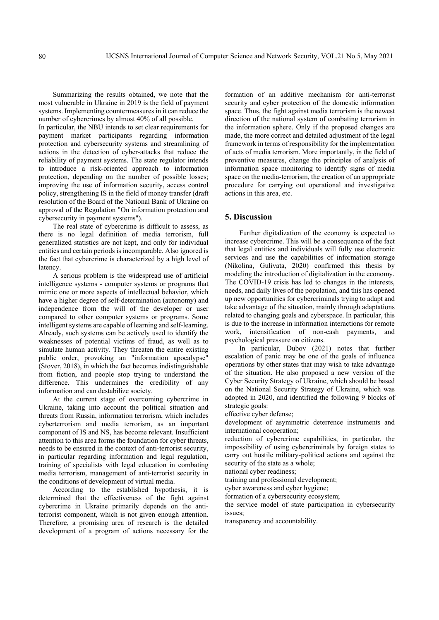Summarizing the results obtained, we note that the most vulnerable in Ukraine in 2019 is the field of payment systems. Implementing countermeasures in it can reduce the number of cybercrimes by almost 40% of all possible.

In particular, the NBU intends to set clear requirements for payment market participants regarding information protection and cybersecurity systems and streamlining of actions in the detection of cyber-attacks that reduce the reliability of payment systems. The state regulator intends to introduce a risk-oriented approach to information protection, depending on the number of possible losses; improving the use of information security, access control policy, strengthening IS in the field of money transfer (draft resolution of the Board of the National Bank of Ukraine on approval of the Regulation "On information protection and cybersecurity in payment systems").

The real state of cybercrime is difficult to assess, as there is no legal definition of media terrorism, full generalized statistics are not kept, and only for individual entities and certain periods is incomparable. Also ignored is the fact that cybercrime is characterized by a high level of latency.

A serious problem is the widespread use of artificial intelligence systems - computer systems or programs that mimic one or more aspects of intellectual behavior, which have a higher degree of self-determination (autonomy) and independence from the will of the developer or user compared to other computer systems or programs. Some intelligent systems are capable of learning and self-learning. Already, such systems can be actively used to identify the weaknesses of potential victims of fraud, as well as to simulate human activity. They threaten the entire existing public order, provoking an "information apocalypse" (Stover, 2018), in which the fact becomes indistinguishable from fiction, and people stop trying to understand the difference. This undermines the credibility of any information and can destabilize society.

At the current stage of overcoming cybercrime in Ukraine, taking into account the political situation and threats from Russia, information terrorism, which includes cyberterrorism and media terrorism, as an important component of IS and NS, has become relevant. Insufficient attention to this area forms the foundation for cyber threats, needs to be ensured in the context of anti-terrorist security, in particular regarding information and legal regulation, training of specialists with legal education in combating media terrorism, management of anti-terrorist security in the conditions of development of virtual media.

According to the established hypothesis, it is determined that the effectiveness of the fight against cybercrime in Ukraine primarily depends on the antiterrorist component, which is not given enough attention. Therefore, a promising area of research is the detailed development of a program of actions necessary for the formation of an additive mechanism for anti-terrorist security and cyber protection of the domestic information space. Thus, the fight against media terrorism is the newest direction of the national system of combating terrorism in the information sphere. Only if the proposed changes are made, the more correct and detailed adjustment of the legal framework in terms of responsibility for the implementation of acts of media terrorism. More importantly, in the field of preventive measures, change the principles of analysis of information space monitoring to identify signs of media space on the media-terrorism, the creation of an appropriate procedure for carrying out operational and investigative actions in this area, etc.

#### **5. Discussion**

Further digitalization of the economy is expected to increase cybercrime. This will be a consequence of the fact that legal entities and individuals will fully use electronic services and use the capabilities of information storage (Nikolina, Gulivata, 2020) confirmed this thesis by modeling the introduction of digitalization in the economy. The COVID-19 crisis has led to changes in the interests, needs, and daily lives of the population, and this has opened up new opportunities for cybercriminals trying to adapt and take advantage of the situation, mainly through adaptations related to changing goals and cyberspace. In particular, this is due to the increase in information interactions for remote work, intensification of non-cash payments, and psychological pressure on citizens.

In particular, Dubov (2021) notes that further escalation of panic may be one of the goals of influence operations by other states that may wish to take advantage of the situation. He also proposed a new version of the Cyber Security Strategy of Ukraine, which should be based on the National Security Strategy of Ukraine, which was adopted in 2020, and identified the following 9 blocks of strategic goals:

effective cyber defense;

development of asymmetric deterrence instruments and international cooperation;

reduction of cybercrime capabilities, in particular, the impossibility of using cybercriminals by foreign states to carry out hostile military-political actions and against the security of the state as a whole;

national cyber readiness;

training and professional development;

cyber awareness and cyber hygiene;

formation of a cybersecurity ecosystem;

the service model of state participation in cybersecurity issues;

transparency and accountability.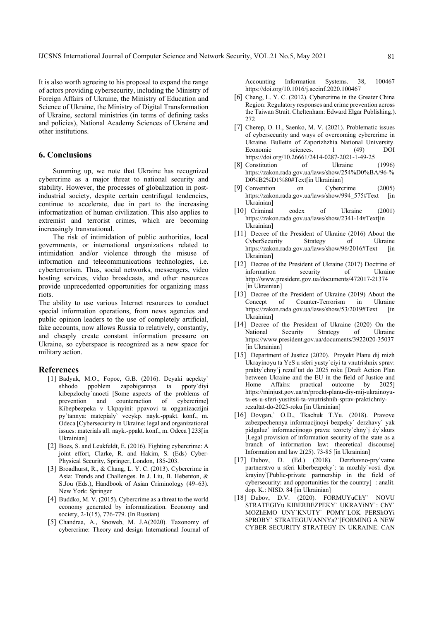It is also worth agreeing to his proposal to expand the range of actors providing cybersecurity, including the Ministry of Foreign Affairs of Ukraine, the Ministry of Education and Science of Ukraine, the Ministry of Digital Transformation of Ukraine, sectoral ministries (in terms of defining tasks and policies), National Academy Sciences of Ukraine and other institutions.

# **6. Conclusions**

Summing up, we note that Ukraine has recognized cybercrime as a major threat to national security and stability. However, the processes of globalization in postindustrial society, despite certain centrifugal tendencies, continue to accelerate, due in part to the increasing informatization of human civilization. This also applies to extremist and terrorist crimes, which are becoming increasingly transnational.

The risk of intimidation of public authorities, local governments, or international organizations related to intimidation and/or violence through the misuse of information and telecommunications technologies, i.e. cyberterrorism. Thus, social networks, messengers, video hosting services, video broadcasts, and other resources provide unprecedented opportunities for organizing mass riots.

The ability to use various Internet resources to conduct special information operations, from news agencies and public opinion leaders to the use of completely artificial, fake accounts, now allows Russia to relatively, constantly, and cheaply create constant information pressure on Ukraine, so cyberspace is recognized as a new space for military action.

### **References**

- [1] Badyuk, M.O., Fopoc, G.B. (2016). Deyaki acpekty` shhodo ppoblem zapobigannya ta ppoty`diyi kibepzlochy'nnocti [Some aspects of the problems of prevention and counteraction of cybercrime] and counteraction of cybercrime] Kibepbezpeka v Ukpayini: ppavovi ta opganizaczijni py`tannya: matepialy` vceykp. nayk.-ppakt. konf., m. Odeca [Cybersecurity in Ukraine: legal and organizational issues: materials all. nayk.-ppakt. konf., m. Odeca ] 233[in Ukrainian]
- [2] Boes, S. and Leukfeldt, E. (2016). Fighting cybercrime: A joint effort, Clarke, R. and Hakim, S. (Eds) Cyber-Physical Security, Springer, London, 185-203.
- [3] Broadhurst, R., & Chang, L. Y. C. (2013). Cybercrime in Asia: Trends and Challenges. In J. Liu, B. Hebenton, & S.Jou (Eds.), Handbook of Asian Criminology (49–63). New York: Springer
- [4] Buddko, M. V. (2015). Cybercrime as a threat to the world economy generated by informatization. Economy and society, 2-1(15), 776-779. (In Russian)
- [5] Chandraa, A., Snoweb, M. J.A(2020). Taxonomy of cybercrime: Theory and design International Journal of

Accounting Information Systems. 38, 100467 https://doi.org/10.1016/j.accinf.2020.100467

- [6] Chang, L. Y. C. (2012). Cybercrime in the Greater China Region: Regulatory responses and crime prevention across the Taiwan Strait. Cheltenham: Edward Elgar Publishing.). 272
- [7] Cherep, O. H., Saenko, M. V. (2021). Problematic issues of cybersecurity and ways of overcoming cybercrime in Ukraine. Bulletin of Zaporizhzhia National University. Economic sciences. 1 (49) DOI https://doi.org/10.26661/2414-0287-2021-1-49-25
- [8] Constitution of Ukraine (1996) https://zakon.rada.gov.ua/laws/show/254%D0%BA/96-% D0%B2%D1%80#Text[in Ukrainian]
- [9] Convention on Cybercrime (2005) https://zakon.rada.gov.ua/laws/show/994\_575#Text [in Ukrainian]
- [10] Criminal codex of Ukraine (2001) https://zakon.rada.gov.ua/laws/show/2341-14#Text[in Ukrainian]
- [11] Decree of the President of Ukraine (2016) About the CyberSecurity Strategy of Ukraine https://zakon.rada.gov.ua/laws/show/96/2016#Text [in Ukrainian]
- [12] Decree of the President of Ukraine (2017) Doctrine of information security of Ukraine http://www.president.gov.ua/documents/472017-21374 [in Ukrainian]
- [13] Decree of the President of Ukraine (2019) About the Concept of Counter-Terrorism in Ukraine https://zakon.rada.gov.ua/laws/show/53/2019#Text [in Ukrainian]
- [14] Decree of the President of Ukraine (2020) On the National Security Strategy of Ukraine https://www.president.gov.ua/documents/3922020-35037 [in Ukrainian]
- [15] Department of Justice (2020). Proyekt Planu dij mizh Ukrayinoyu ta YeS u sferi yusty`ciyi ta vnutrishnix sprav: prakty`chny`j rezul`tat do 2025 roku [Draft Action Plan between Ukraine and the EU in the field of Justice and Home Affairs: practical outcome by 2025] https://minjust.gov.ua/m/proekt-planu-diy-mij-ukrainoyuta-es-u-sferi-yustitsii-ta-vnutrishnih-sprav-praktichniyrezultat-do-2025-roku [in Ukrainian]
- [16] Dovgan,` O.D., Tkachuk T.Yu. (2018). Pravove zabezpechennya informacijnoyi bezpeky` derzhavy` yak pidgaluz` informacijnogo prava: teorety`chny`j dy`skurs [Legal provision of information security of the state as a branch of information law: theoretical discourse] Information and law 2(25). 73-85 [in Ukrainian]
- [17] Dubov, D. (Ed.) (2018). Derzhavno-pry`vatne partnerstvo u sferi kiberbezpeky`: ta mozhly`vosti dlya krayiny`[Public-private partnership in the field of cybersecurity: and opportunities for the country] : analit. dop. K.: NISD. 84 [in Ukrainian]
- [18] Dubov, D.V. (2020). FORMUYuChY` NOVU STRATEGIYu KIBERBEZPEKY` UKRAYiNY`: ChY` MOZhEMO UNY`KNUTY` POMY`LOK PERShOYi SPROBY` STRATEGUVANNYa?`[FORMING A NEW CYBER SECURITY STRATEGY IN UKRAINE: CAN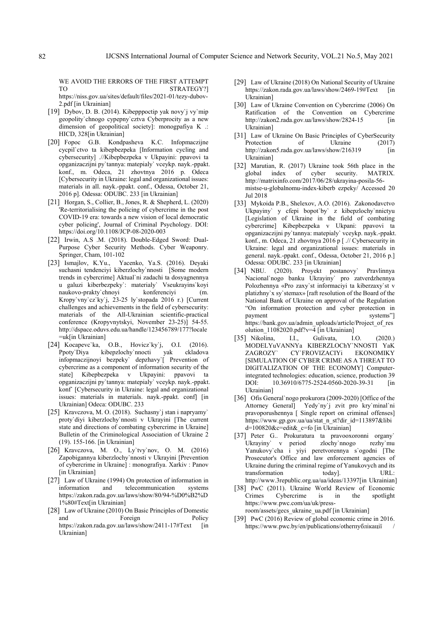WE AVOID THE ERRORS OF THE FIRST ATTEMPT TO STRATEGY? https://niss.gov.ua/sites/default/files/2021-01/tezy-dubov-2.pdf [in Ukrainian]

- [19] Dybov, D. B. (2014). Kibepppoctip yak novy`j vy`mip geopolity`chnogo cypepny`cztva Cyberprocity as a new dimension of geopolitical society]: monogpafiya K .: HICD, 328[in Ukrainian]
- [20] Fopoc G.B. Kondpasheva K.C. Infopmaczijne cycpil`ctvo ta kibepbezpeka [Information cycling and cybersecurity] .//Kibepbezpeka v Ukpayini: ppavovi ta opganizaczijni py`tannya: matepialy` vceykp. nayk.-ppakt. konf., m. Odeca, 21 zhovtnya 2016 p. Odeca [Cybersecurity in Ukraine: legal and organizational issues: materials in all. nayk.-ppakt. conf., Odessa, October 21, 2016 p]. Odessa: ODUBC. 233 [in Ukrainian]
- [21] Horgan, S., Collier, B., Jones, R. & Shepherd, L. (2020) 'Re-territorialising the policing of cybercrime in the post COVID-19 era: towards a new vision of local democratic cyber policing', Journal of Criminal Psychology. DOI: https://doi.org/10.1108/JCP-08-2020-003
- [22] Irwin, A.S .M. (2018). Double-Edged Sword: Dual-Purpose Cyber Security Methods. Cyber Weaponry. Springer, Cham, 101-102
- [23] Ismajlov, K.Yu., Yacenko, Ya.S. (2016). Deyaki suchasni tendenciyi kiberzlochy`nnosti [Some modern trends in cybercrime] Aktual`ni zadachi ta dosyagnennya u galuzi kiberbezpeky`: materialy` Vseukrayins`koyi naukovo-prakty`chnoyi konferenciyi (m. Kropy`vny`cz`ky`j, 23-25 ly`stopada 2016 r.) [Current challenges and achievements in the field of cybersecurity: materials of the All-Ukrainian scientific-practical conference (Kropyvnytskyi, November 23-25)] 54-55. http://dspace.oduvs.edu.ua/handle/123456789/177?locale =uk[in Ukrainian]
- [24] Kocapevc`ka, O.B., Hovicz`ky`j, O.I. (2016). Ppoty`Diya kibepzlochy`nnocti yak ckladova infopmaczijnoyi bezpeky` depzhavy`[ Prevention of cybercrime as a component of information security of the state] Kibepbezpeka v Ukpayini: ppavovi ta opganizaczijni py`tannya: matepialy` vceykp. nayk.-ppakt. konf` [Cybersecurity in Ukraine: legal and organizational issues: materials in materials. nayk.-ppakt. conf] [in Ukrainian] Odeca: ODUBC. 233
- [25] Kravczova, M. O. (2018). Suchasny`j stan i napryamy` proty`diyi kiberzlochy`nnosti v Ukrayini [The current state and directions of combating cybercrime in Ukraine] Bulletin of the Criminological Association of Ukraine 2 (19). 155-166. [in Ukrainian]
- [26] Kravczova, M. O., Ly`tvy`nov, O. M. (2016) Zapobigannya kiberzlochy`nnosti v Ukrayini [Prevention of cybercrime in Ukraine] : monografiya. Xarkiv : Panov [in Ukrainian]
- [27] Law of Ukraine (1994) On protection of information in information and telecommunication systems https://zakon.rada.gov.ua/laws/show/80/94-%D0%B2%D 1%80#Text[in Ukrainian]
- [28] Law of Ukraine (2010) On Basic Principles of Domestic and Foreign Policy https://zakon.rada.gov.ua/laws/show/2411-17#Text [in Ukrainian]
- [29] Law of Ukraine (2018) On National Security of Ukraine https://zakon.rada.gov.ua/laws/show/2469-19#Text [in Ukrainian]
- [30] Law of Ukraine Convention on Cybercrime (2006) On Ratification of the Convention on Cybercrime http://zakon2.rada.gov.ua/laws/show/2824-15  $\qquad \qquad$  [in Ukrainian]
- [31] Law of Ukraine On Basic Principles of CyberSecurity Protection of Ukraine (2017) http://zakon5.rada.gov.ua/laws/show/216319 [in Ukrainian]
- [32] Marutian, R. (2017) Ukraine took 56th place in the global index of cyber security. MATRIX. http://matrixinfo.com/2017/06/28/ukrayina-posila-56 mistse-u-globalnomu-index-kiberb ezpeky/ Accessed 20 Jul 2018
- [33] Mykoida P.B., Shelexov, A.O. (2016). Zakonodavctvo Ukpayiny` y cfepi bopot`by` z kibepzlochy`nnictyu [Legislation of Ukraine in the field of combating cybercrime] Kibepbezpeka v Ukpani: ppavovi ta opganizaczijni py`tannya: matepialy` vceykp. nayk.-ppakt. konf., m. Odeca, 21 zhovtnya 2016 p [ .// Cybersecurity in Ukraine: legal and organizational issues: materials in general. nayk.-ppakt. conf., Odessa, October 21, 2016 p.] Odessa: ODUBC. 233 [in Ukrainian]
- [34] NBU. (2020). Proyekt postanovy` Pravlinnya Nacional`nogo banku Ukrayiny` pro zatverdzhennya Polozhennya «Pro zaxy`st informaciyi ta kiberzaxy`st v platizhny`x sy`stemax» [raft resolution of the Board of the National Bank of Ukraine on approval of the Regulation "On information protection and cyber protection in payment systems" https://bank.gov.ua/admin\_uploads/article/Project\_of\_res olution 11082020.pdf?v=4 [in Ukrainian]
- [35] Nikolina, I.I., Gulivata, I.O. (2020.) MODELYuVANNYa KIBERZLOChY`NNOSTI YaK ZAGROZY` CY`FROVIZACIYi EKONOMIKY [SIMULATION OF CYBER CRIME AS A THREAT TO DIGITALIZATION OF THE ECONOMY] Computerintegrated technologies: education, science, production 39 DOI: 10.36910/6775-2524-0560-2020-39-31 [in Ukrainian]
- [36] Ofis General`nogo prokurora (2009-2020) [Office of the Attorney General] Yedy`ny`j zvit pro kry`minal`ni pravoporushennya [ Single report on criminal offenses] https://www.gp.gov.ua/ua/stat\_n\_st?dir\_id=113897&libi d=100820&c=edit&\_c=fo [in Ukrainian]
- [37] Peter G.. Prokuratura ta pravooxoronni organy` Ukrayiny` v period zlochy`nnogo rezhy`mu Yanukovy`cha i yiyi peretvorennya s`ogodni [The Prosecutor's Office and law enforcement agencies of Ukraine during the criminal regime of Yanukovych and its transformation today]. URL: http://www.3republic.org.ua/ua/ideas/13397[in Ukrainian]
- [38] PwC (2011). Ukraine World Review of Economic Crimes Cybercrime is in the spotlight https://www.pwc.com/ua/uk/pressroom/assets/gecs\_ukraine\_ua.pdf [in Ukrainian]
- [39] PwC (2016) Review of global economic crime in 2016. https://www.pwc.by/en/publications/otherпублікації /